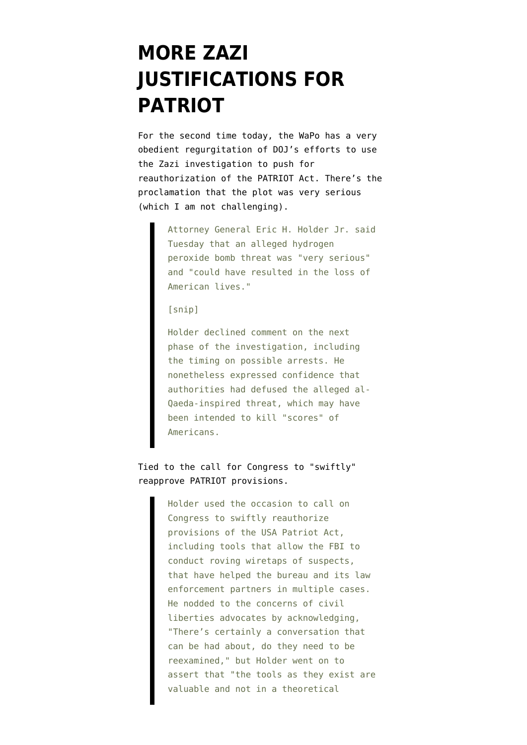## **[MORE ZAZI](https://www.emptywheel.net/2009/10/06/more-zazi-justifications-for-patriot/) [JUSTIFICATIONS FOR](https://www.emptywheel.net/2009/10/06/more-zazi-justifications-for-patriot/) [PATRIOT](https://www.emptywheel.net/2009/10/06/more-zazi-justifications-for-patriot/)**

For the second time today, the WaPo has a [very](http://www.washingtonpost.com/wp-dyn/content/article/2009/10/06/AR2009100602618.html?hpid=moreheadlines) [obedient regurgitation](http://www.washingtonpost.com/wp-dyn/content/article/2009/10/06/AR2009100602618.html?hpid=moreheadlines) of DOJ's efforts to use the Zazi investigation to push for reauthorization of the PATRIOT Act. There's the proclamation that the plot was very serious (which I am not challenging).

> Attorney General Eric H. Holder Jr. said Tuesday that an alleged hydrogen peroxide bomb threat was "very serious" and "could have resulted in the loss of American lives."

## [snip]

Holder declined comment on the next phase of the investigation, including the timing on possible arrests. He nonetheless expressed confidence that authorities had defused the alleged al-Qaeda-inspired threat, which may have been intended to kill "scores" of Americans.

## Tied to the call for Congress to "swiftly" reapprove PATRIOT provisions.

Holder used the occasion to call on Congress to swiftly reauthorize provisions of the USA Patriot Act, including tools that allow the FBI to conduct roving wiretaps of suspects, that have helped the bureau and its law enforcement partners in multiple cases. He nodded to the concerns of civil liberties advocates by acknowledging, "There's certainly a conversation that can be had about, do they need to be reexamined," but Holder went on to assert that "the tools as they exist are valuable and not in a theoretical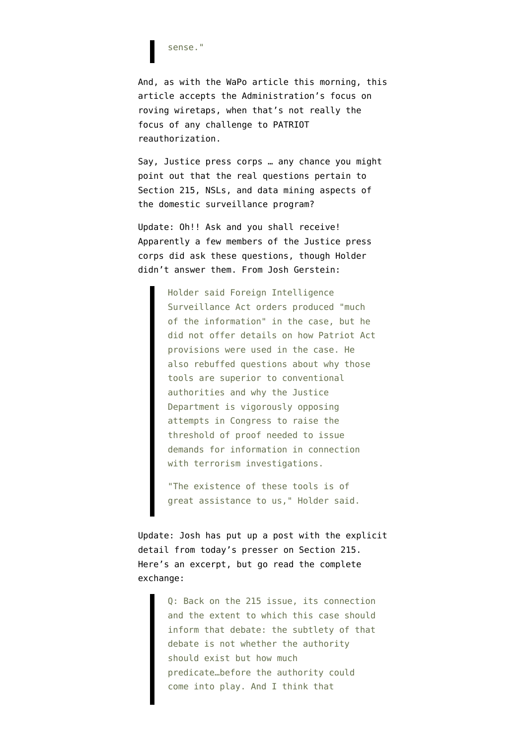sense."

And, as with the WaPo article this morning, this article accepts the Administration's focus on roving wiretaps, when that's not really the focus of any challenge to PATRIOT reauthorization.

Say, Justice press corps … any chance you might point out that the real questions pertain to Section 215, NSLs, and data mining aspects of the domestic surveillance program?

Update: Oh!! Ask and you shall receive! Apparently a few members of the Justice press corps did ask these questions, though Holder didn't answer them. From [Josh Gerstein:](http://www.politico.com/news/stories/1009/27995.html#ixzz0TC6f9AmV)

> Holder said Foreign Intelligence Surveillance Act orders produced "much of the information" in the case, but he did not offer details on how Patriot Act provisions were used in the case. He also rebuffed questions about why those tools are superior to conventional authorities and why the Justice Department is vigorously opposing attempts in Congress to raise the threshold of proof needed to issue demands for information in connection with terrorism investigations.

"The existence of these tools is of great assistance to us," Holder said.

Update: Josh has put up [a post](http://www.politico.com/blogs/joshgerstein/1009/Holder_on_Patriot_Act_unfiltered.html) with the explicit detail from today's presser on Section 215. Here's an excerpt, but go read the complete exchange:

> Q: Back on the 215 issue, its connection and the extent to which this case should inform that debate: the subtlety of that debate is not whether the authority should exist but how much predicate…before the authority could come into play. And I think that